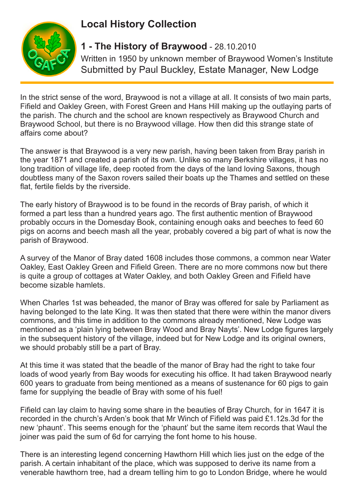## **Local History Collection**



## **1 - The History of Braywood** - 28.10.2010

Written in 1950 by unknown member of Braywood Women's Institute Submitted by Paul Buckley, Estate Manager, New Lodge

In the strict sense of the word, Braywood is not a village at all. It consists of two main parts, Fifield and Oakley Green, with Forest Green and Hans Hill making up the outlaying parts of the parish. The church and the school are known respectively as Braywood Church and Braywood School, but there is no Braywood village. How then did this strange state of affairs come about?

The answer is that Braywood is a very new parish, having been taken from Bray parish in the year 1871 and created a parish of its own. Unlike so many Berkshire villages, it has no long tradition of village life, deep rooted from the days of the land loving Saxons, though doubtless many of the Saxon rovers sailed their boats up the Thames and settled on these flat, fertile fields by the riverside.

The early history of Braywood is to be found in the records of Bray parish, of which it formed a part less than a hundred years ago. The first authentic mention of Braywood probably occurs in the Domesday Book, containing enough oaks and beeches to feed 60 pigs on acorns and beech mash all the year, probably covered a big part of what is now the parish of Braywood.

A survey of the Manor of Bray dated 1608 includes those commons, a common near Water Oakley, East Oakley Green and Fifield Green. There are no more commons now but there is quite a group of cottages at Water Oakley, and both Oakley Green and Fifield have become sizable hamlets.

When Charles 1st was beheaded, the manor of Bray was offered for sale by Parliament as having belonged to the late King. It was then stated that there were within the manor divers commons, and this time in addition to the commons already mentioned, New Lodge was mentioned as a 'plain lying between Bray Wood and Bray Nayts'. New Lodge figures largely in the subsequent history of the village, indeed but for New Lodge and its original owners, we should probably still be a part of Bray.

At this time it was stated that the beadle of the manor of Bray had the right to take four loads of wood yearly from Bay woods for executing his office. It had taken Braywood nearly 600 years to graduate from being mentioned as a means of sustenance for 60 pigs to gain fame for supplying the beadle of Bray with some of his fuel!

Fifield can lay claim to having some share in the beauties of Bray Church, for in 1647 it is recorded in the church's Arden's book that Mr Winch of Fifield was paid £1.12s.3d for the new 'phaunt'. This seems enough for the 'phaunt' but the same item records that Waul the joiner was paid the sum of 6d for carrying the font home to his house.

There is an interesting legend concerning Hawthorn Hill which lies just on the edge of the parish. A certain inhabitant of the place, which was supposed to derive its name from a venerable hawthorn tree, had a dream telling him to go to London Bridge, where he would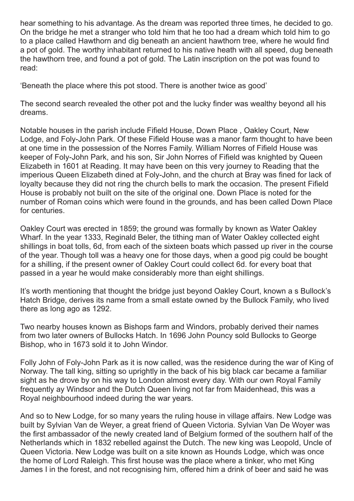hear something to his advantage. As the dream was reported three times, he decided to go. On the bridge he met a stranger who told him that he too had a dream which told him to go to a place called Hawthorn and dig beneath an ancient hawthorn tree, where he would find a pot of gold. The worthy inhabitant returned to his native heath with all speed, dug beneath the hawthorn tree, and found a pot of gold. The Latin inscription on the pot was found to read:

'Beneath the place where this pot stood. There is another twice as good'

The second search revealed the other pot and the lucky finder was wealthy beyond all his dreams.

Notable houses in the parish include Fifield House, Down Place , Oakley Court, New Lodge, and Foly-John Park. Of these Fifield House was a manor farm thought to have been at one time in the possession of the Norres Family. William Norres of Fifield House was keeper of Foly-John Park, and his son, Sir John Norres of Fifield was knighted by Queen Elizabeth in 1601 at Reading. It may have been on this very journey to Reading that the imperious Queen Elizabeth dined at Foly-John, and the church at Bray was fined for lack of loyalty because they did not ring the church bells to mark the occasion. The present Fifield House is probably not built on the site of the original one. Down Place is noted for the number of Roman coins which were found in the grounds, and has been called Down Place for centuries.

Oakley Court was erected in 1859; the ground was formally by known as Water Oakley Wharf. In the year 1333, Reginald Beler, the tithing man of Water Oakley collected eight shillings in boat tolls, 6d, from each of the sixteen boats which passed up river in the course of the year. Though toll was a heavy one for those days, when a good pig could be bought for a shilling, if the present owner of Oakley Court could collect 6d. for every boat that passed in a year he would make considerably more than eight shillings.

It's worth mentioning that thought the bridge just beyond Oakley Court, known a s Bullock's Hatch Bridge, derives its name from a small estate owned by the Bullock Family, who lived there as long ago as 1292.

Two nearby houses known as Bishops farm and Windors, probably derived their names from two later owners of Bullocks Hatch. In 1696 John Pouncy sold Bullocks to George Bishop, who in 1673 sold it to John Windor.

Folly John of Foly-John Park as it is now called, was the residence during the war of King of Norway. The tall king, sitting so uprightly in the back of his big black car became a familiar sight as he drove by on his way to London almost every day. With our own Royal Family frequently ay Windsor and the Dutch Queen living not far from Maidenhead, this was a Royal neighbourhood indeed during the war years.

And so to New Lodge, for so many years the ruling house in village affairs. New Lodge was built by Sylvian Van de Weyer, a great friend of Queen Victoria. Sylvian Van De Woyer was the first ambassador of the newly created land of Belgium formed of the southern half of the Netherlands which in 1832 rebelled against the Dutch. The new king was Leopold, Uncle of Queen Victoria. New Lodge was built on a site known as Hounds Lodge, which was once the home of Lord Raleigh. This first house was the place where a tinker, who met King James I in the forest, and not recognising him, offered him a drink of beer and said he was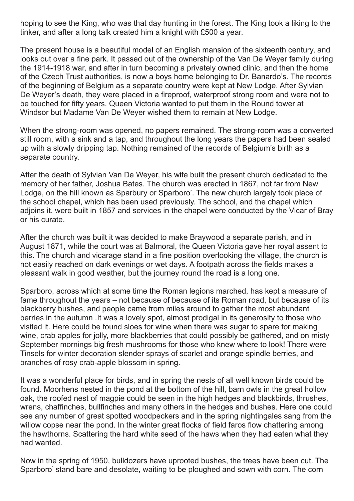hoping to see the King, who was that day hunting in the forest. The King took a liking to the tinker, and after a long talk created him a knight with £500 a year.

The present house is a beautiful model of an English mansion of the sixteenth century, and looks out over a fine park. It passed out of the ownership of the Van De Weyer family during the 1914-1918 war, and after in turn becoming a privately owned clinic, and then the home of the Czech Trust authorities, is now a boys home belonging to Dr. Banardo's. The records of the beginning of Belgium as a separate country were kept at New Lodge. After Sylvian De Weyer's death, they were placed in a fireproof, waterproof strong room and were not to be touched for fifty years. Queen Victoria wanted to put them in the Round tower at Windsor but Madame Van De Weyer wished them to remain at New Lodge.

When the strong-room was opened, no papers remained. The strong-room was a converted still room, with a sink and a tap, and throughout the long years the papers had been sealed up with a slowly dripping tap. Nothing remained of the records of Belgium's birth as a separate country.

After the death of Sylvian Van De Weyer, his wife built the present church dedicated to the memory of her father, Joshua Bates. The church was erected in 1867, not far from New Lodge, on the hill known as Sparbury or Sparboro'. The new church largely took place of the school chapel, which has been used previously. The school, and the chapel which adjoins it, were built in 1857 and services in the chapel were conducted by the Vicar of Bray or his curate.

After the church was built it was decided to make Braywood a separate parish, and in August 1871, while the court was at Balmoral, the Queen Victoria gave her royal assent to this. The church and vicarage stand in a fine position overlooking the village, the church is not easily reached on dark evenings or wet days. A footpath across the fields makes a pleasant walk in good weather, but the journey round the road is a long one.

Sparboro, across which at some time the Roman legions marched, has kept a measure of fame throughout the years – not because of because of its Roman road, but because of its blackberry bushes, and people came from miles around to gather the most abundant berries in the autumn .It was a lovely spot, almost prodigal in its generosity to those who visited it. Here could be found sloes for wine when there was sugar to spare for making wine, crab apples for jolly, more blackberries that could possibly be gathered, and on misty September mornings big fresh mushrooms for those who knew where to look! There were Tinsels for winter decoration slender sprays of scarlet and orange spindle berries, and branches of rosy crab-apple blossom in spring.

It was a wonderful place for birds, and in spring the nests of all well known birds could be found. Moorhens nested in the pond at the bottom of the hill, barn owls in the great hollow oak, the roofed nest of magpie could be seen in the high hedges and blackbirds, thrushes, wrens, chaffinches, bullfinches and many others in the hedges and bushes. Here one could see any number of great spotted woodpeckers and in the spring nightingales sang from the willow copse near the pond. In the winter great flocks of field faros flow chattering among the hawthorns. Scattering the hard white seed of the haws when they had eaten what they had wanted.

Now in the spring of 1950, bulldozers have uprooted bushes, the trees have been cut. The Sparboro' stand bare and desolate, waiting to be ploughed and sown with corn. The corn